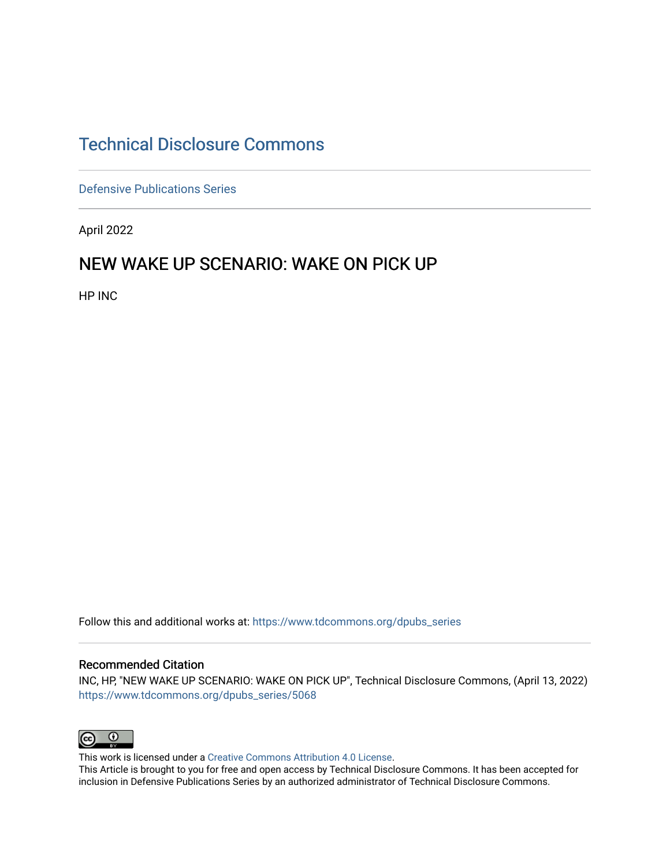# [Technical Disclosure Commons](https://www.tdcommons.org/)

[Defensive Publications Series](https://www.tdcommons.org/dpubs_series)

April 2022

#### NEW WAKE UP SCENARIO: WAKE ON PICK UP

HP INC

Follow this and additional works at: [https://www.tdcommons.org/dpubs\\_series](https://www.tdcommons.org/dpubs_series?utm_source=www.tdcommons.org%2Fdpubs_series%2F5068&utm_medium=PDF&utm_campaign=PDFCoverPages) 

#### Recommended Citation

INC, HP, "NEW WAKE UP SCENARIO: WAKE ON PICK UP", Technical Disclosure Commons, (April 13, 2022) [https://www.tdcommons.org/dpubs\\_series/5068](https://www.tdcommons.org/dpubs_series/5068?utm_source=www.tdcommons.org%2Fdpubs_series%2F5068&utm_medium=PDF&utm_campaign=PDFCoverPages)



This work is licensed under a [Creative Commons Attribution 4.0 License](http://creativecommons.org/licenses/by/4.0/deed.en_US).

This Article is brought to you for free and open access by Technical Disclosure Commons. It has been accepted for inclusion in Defensive Publications Series by an authorized administrator of Technical Disclosure Commons.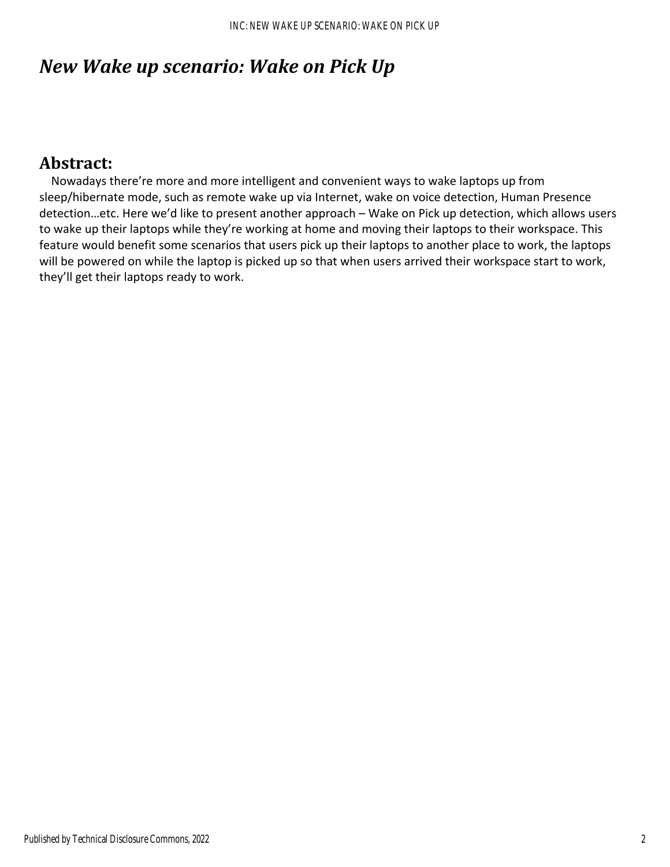# *New Wake up scenario: Wake on Pick Up*

### Abstract:

 Nowadays there're more and more intelligent and convenient ways to wake laptops up from sleep/hibernate mode, such as remote wake up via Internet, wake on voice detection, Human Presence detection…etc. Here we'd like to present another approach – Wake on Pick up detection, which allows users to wake up their laptops while they're working at home and moving their laptops to their workspace. This feature would benefit some scenarios that users pick up their laptops to another place to work, the laptops will be powered on while the laptop is picked up so that when users arrived their workspace start to work, they'll get their laptops ready to work.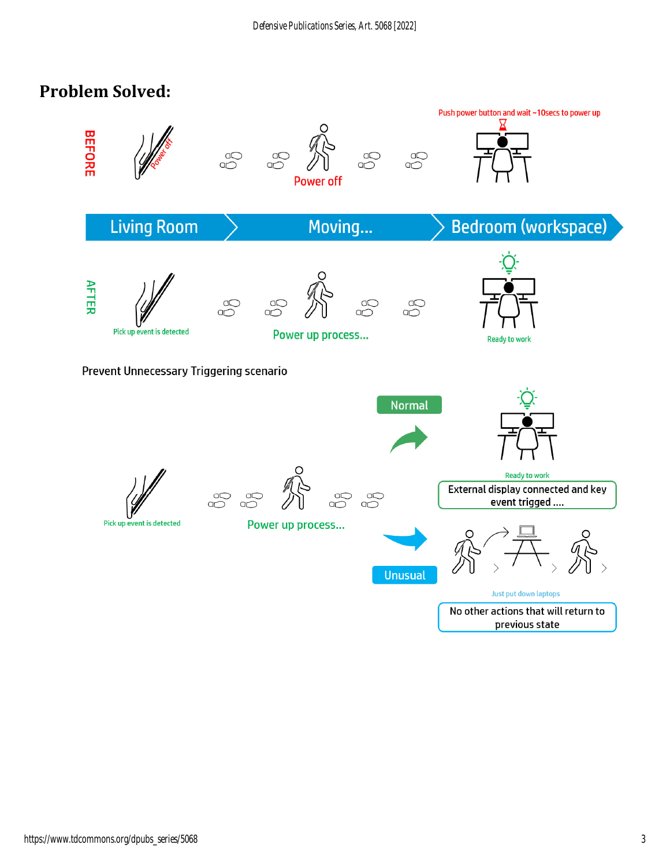# **Problem Solved:**

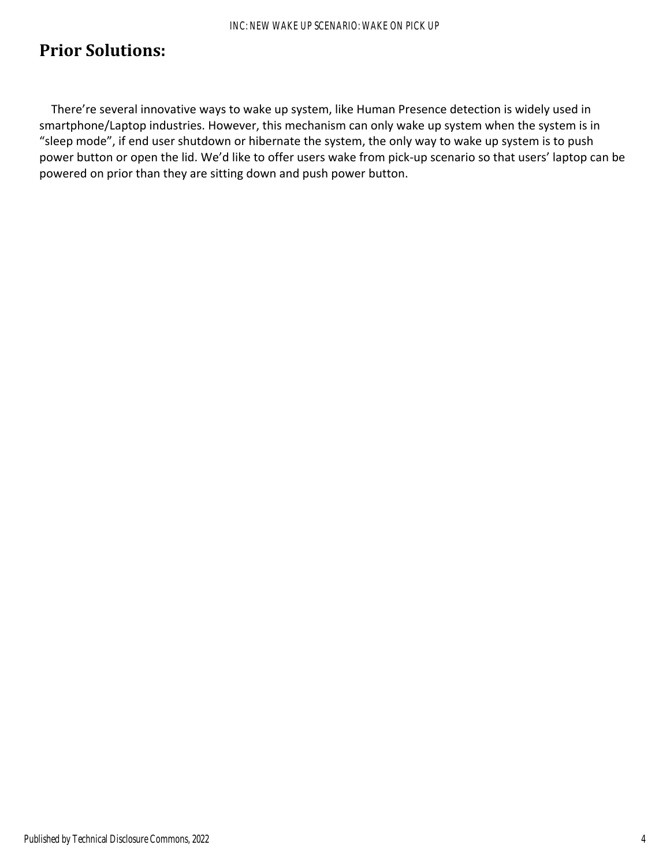# **Prior Solutions:**

 There're several innovative ways to wake up system, like Human Presence detection is widely used in smartphone/Laptop industries. However, this mechanism can only wake up system when the system is in "sleep mode", if end user shutdown or hibernate the system, the only way to wake up system is to push power button or open the lid. We'd like to offer users wake from pick‐up scenario so that users' laptop can be powered on prior than they are sitting down and push power button.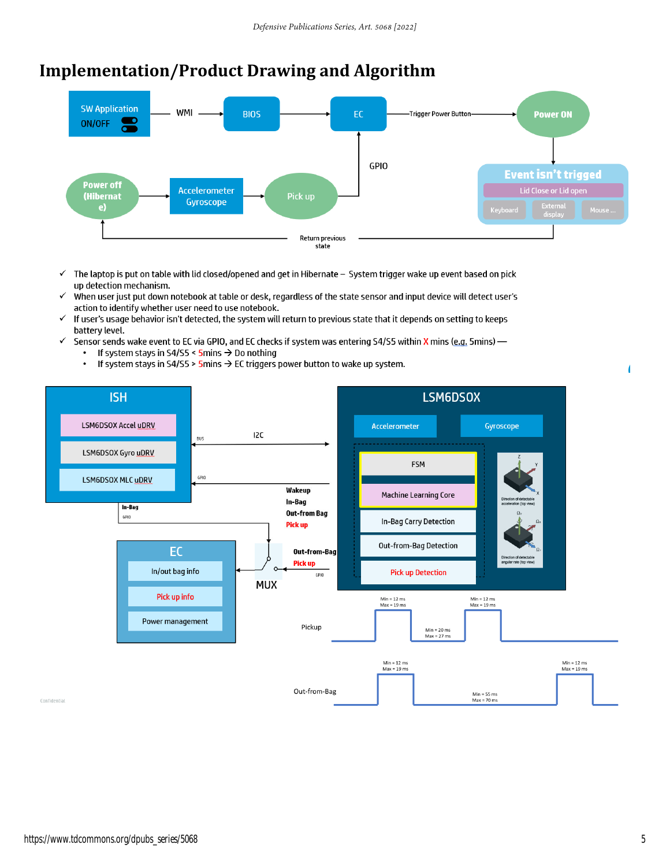# **Implementation/Product Drawing and Algorithm**



- The laptop is put on table with lid closed/opened and get in Hibernate System trigger wake up event based on pick  $\checkmark$ up detection mechanism.
- When user just put down notebook at table or desk, regardless of the state sensor and input device will detect user's  $\checkmark$ action to identify whether user need to use notebook.
- If user's usage behavior isn't detected, the system will return to previous state that it depends on setting to keeps  $\checkmark$ battery level.
- $\checkmark$ Sensor sends wake event to EC via GPIO, and EC checks if system was entering S4/S5 within X mins (e.g. 5mins) -If system stays in S4/S5 <  $5$ mins  $\rightarrow$  Do nothing  $\bullet$ 
	- If system stays in S4/S5 > 5mins  $\rightarrow$  EC triggers power button to wake up system.  $\bullet$